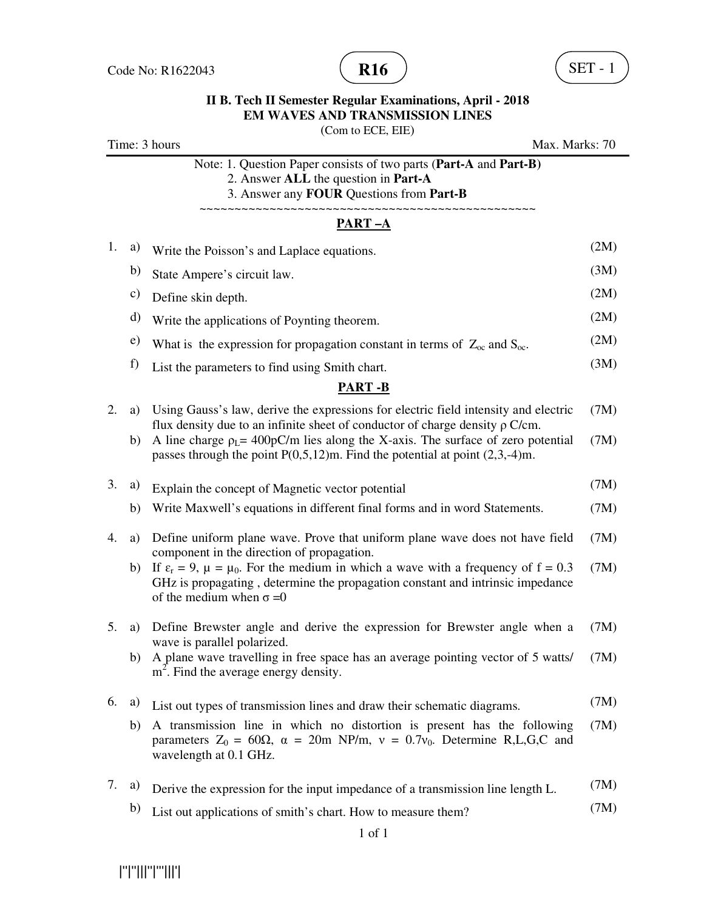

(Com to ECE, EIE)

|    |    | Time: 3 hours<br>Max. Marks: 70                                                                                                                                                                                            |      |
|----|----|----------------------------------------------------------------------------------------------------------------------------------------------------------------------------------------------------------------------------|------|
|    |    | Note: 1. Question Paper consists of two parts (Part-A and Part-B)<br>2. Answer ALL the question in Part-A<br>3. Answer any FOUR Questions from Part-B                                                                      |      |
|    |    | <u>PART-A</u>                                                                                                                                                                                                              |      |
| 1. | a) | Write the Poisson's and Laplace equations.                                                                                                                                                                                 | (2M) |
|    | b) | State Ampere's circuit law.                                                                                                                                                                                                | (3M) |
|    | c) | Define skin depth.                                                                                                                                                                                                         | (2M) |
|    | d) | Write the applications of Poynting theorem.                                                                                                                                                                                | (2M) |
|    | e) | What is the expression for propagation constant in terms of $Z_{\rm oc}$ and $S_{\rm oc}$ .                                                                                                                                | (2M) |
|    | f) | List the parameters to find using Smith chart.                                                                                                                                                                             | (3M) |
|    |    | <b>PART-B</b>                                                                                                                                                                                                              |      |
| 2. | a) | Using Gauss's law, derive the expressions for electric field intensity and electric<br>flux density due to an infinite sheet of conductor of charge density $\rho$ C/cm.                                                   | (7M) |
|    | b) | A line charge $\rho_L$ = 400pC/m lies along the X-axis. The surface of zero potential<br>passes through the point $P(0,5,12)$ m. Find the potential at point $(2,3,-4)$ m.                                                 | (7M) |
| 3. | a) | Explain the concept of Magnetic vector potential                                                                                                                                                                           | (7M) |
|    | b) | Write Maxwell's equations in different final forms and in word Statements.                                                                                                                                                 | (7M) |
| 4. | a) | Define uniform plane wave. Prove that uniform plane wave does not have field<br>component in the direction of propagation.                                                                                                 | (7M) |
|    | b) | If $\varepsilon_r = 9$ , $\mu = \mu_0$ . For the medium in which a wave with a frequency of $f = 0.3$<br>GHz is propagating, determine the propagation constant and intrinsic impedance<br>of the medium when $\sigma = 0$ | (7M) |
| 5. | a) | Define Brewster angle and derive the expression for Brewster angle when a                                                                                                                                                  | (7M) |
|    | b) | wave is parallel polarized.<br>A plane wave travelling in free space has an average pointing vector of 5 watts/<br>$m2$ . Find the average energy density.                                                                 | (7M) |
| 6. | a) | List out types of transmission lines and draw their schematic diagrams.                                                                                                                                                    | (7M) |
|    | b) | A transmission line in which no distortion is present has the following<br>parameters $Z_0 = 60\Omega$ , $\alpha = 20$ m NP/m, $v = 0.7v_0$ . Determine R,L,G,C and<br>wavelength at 0.1 GHz.                              | (7M) |
| 7. | a) | Derive the expression for the input impedance of a transmission line length L.                                                                                                                                             | (7M) |
|    | b) | List out applications of smith's chart. How to measure them?                                                                                                                                                               | (7M) |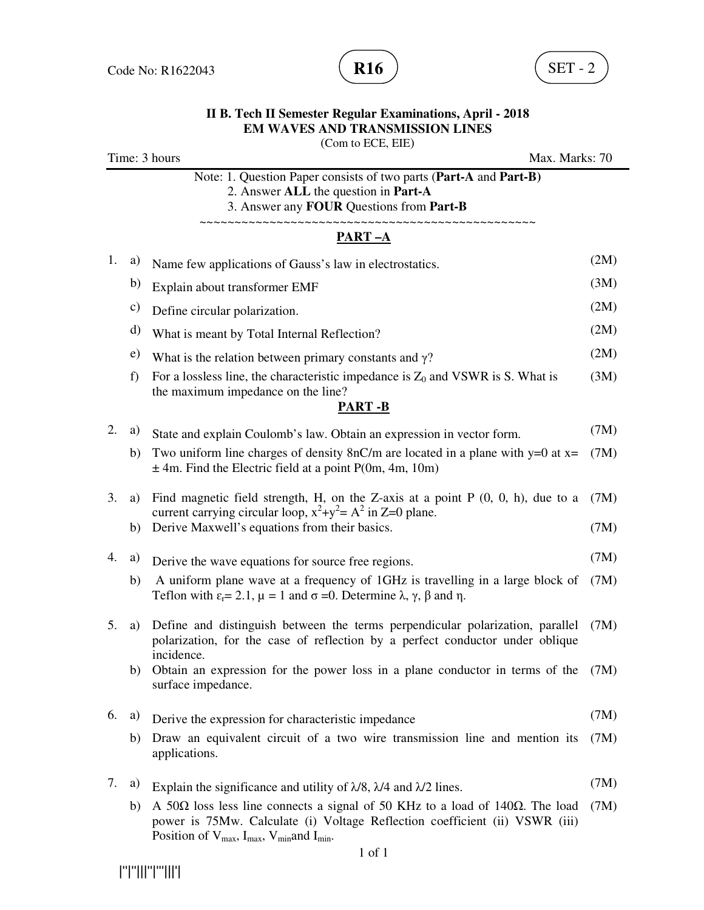

(Com to ECE, EIE)

|    |    | Time: 3 hours<br>Max. Marks: 70                                                                                                                                                                                              |      |
|----|----|------------------------------------------------------------------------------------------------------------------------------------------------------------------------------------------------------------------------------|------|
|    |    | Note: 1. Question Paper consists of two parts (Part-A and Part-B)<br>2. Answer ALL the question in Part-A<br>3. Answer any FOUR Questions from Part-B                                                                        |      |
|    |    | <b>PART-A</b>                                                                                                                                                                                                                |      |
| 1. | a) | Name few applications of Gauss's law in electrostatics.                                                                                                                                                                      | (2M) |
|    | b) | Explain about transformer EMF                                                                                                                                                                                                | (3M) |
|    | c) | Define circular polarization.                                                                                                                                                                                                | (2M) |
|    | d) | What is meant by Total Internal Reflection?                                                                                                                                                                                  | (2M) |
|    | e) | What is the relation between primary constants and $\gamma$ ?                                                                                                                                                                | (2M) |
|    | f) | For a lossless line, the characteristic impedance is $Z_0$ and VSWR is S. What is<br>the maximum impedance on the line?                                                                                                      | (3M) |
|    |    | <b>PART-B</b>                                                                                                                                                                                                                |      |
| 2. | a) | State and explain Coulomb's law. Obtain an expression in vector form.                                                                                                                                                        | (7M) |
|    | b) | Two uniform line charges of density $8nC/m$ are located in a plane with y=0 at x=<br>$\pm$ 4m. Find the Electric field at a point P(0m, 4m, 10m)                                                                             | (7M) |
| 3. | a) | Find magnetic field strength, H, on the Z-axis at a point $P(0, 0, h)$ , due to a<br>current carrying circular loop, $x^2+y^2 = A^2$ in Z=0 plane.                                                                           | (7M) |
|    | b) | Derive Maxwell's equations from their basics.                                                                                                                                                                                | (7M) |
| 4. | a) | Derive the wave equations for source free regions.                                                                                                                                                                           | (7M) |
|    | b) | A uniform plane wave at a frequency of 1GHz is travelling in a large block of<br>Teflon with $\varepsilon_r = 2.1$ , $\mu = 1$ and $\sigma = 0$ . Determine $\lambda$ , $\gamma$ , $\beta$ and $\eta$ .                      | (7M) |
| 5. | a) | Define and distinguish between the terms perpendicular polarization, parallel<br>polarization, for the case of reflection by a perfect conductor under oblique<br>incidence.                                                 | (7M) |
|    | b) | Obtain an expression for the power loss in a plane conductor in terms of the<br>surface impedance.                                                                                                                           | (7M) |
| 6. | a) | Derive the expression for characteristic impedance                                                                                                                                                                           | (7M) |
|    | b) | Draw an equivalent circuit of a two wire transmission line and mention its<br>applications.                                                                                                                                  | (7M) |
| 7. | a) | Explain the significance and utility of $\lambda/8$ , $\lambda/4$ and $\lambda/2$ lines.                                                                                                                                     | (7M) |
|    | b) | A 50Ω loss less line connects a signal of 50 KHz to a load of 140Ω. The load<br>power is 75Mw. Calculate (i) Voltage Reflection coefficient (ii) VSWR (iii)<br>Position of $V_{max}$ , $I_{max}$ , $V_{min}$ and $I_{min}$ . | (7M) |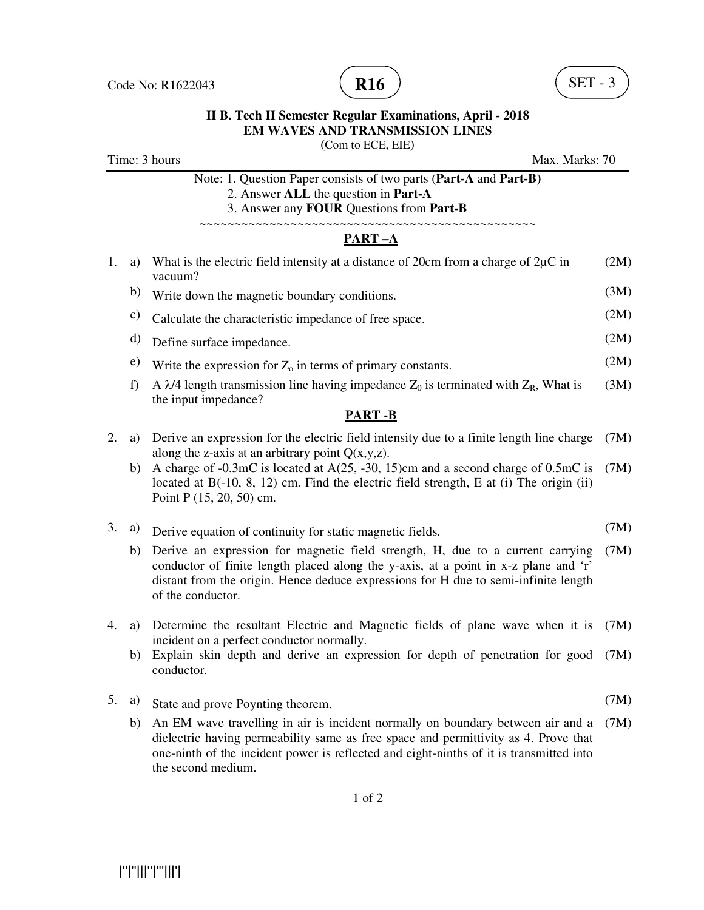

|                                 |    | ENI WA VES AND TRANSMISSION LINES<br>(Com to ECE, EIE)                                                                                                                                                                                                                            |      |  |  |
|---------------------------------|----|-----------------------------------------------------------------------------------------------------------------------------------------------------------------------------------------------------------------------------------------------------------------------------------|------|--|--|
| Time: 3 hours<br>Max. Marks: 70 |    |                                                                                                                                                                                                                                                                                   |      |  |  |
|                                 |    | Note: 1. Question Paper consists of two parts (Part-A and Part-B)<br>2. Answer ALL the question in Part-A<br>3. Answer any FOUR Questions from Part-B                                                                                                                             |      |  |  |
|                                 |    | PART-A                                                                                                                                                                                                                                                                            |      |  |  |
| 1.                              | a) | What is the electric field intensity at a distance of 20cm from a charge of $2\mu$ C in<br>vacuum?                                                                                                                                                                                | (2M) |  |  |
|                                 | b) | Write down the magnetic boundary conditions.                                                                                                                                                                                                                                      | (3M) |  |  |
|                                 | c) | Calculate the characteristic impedance of free space.                                                                                                                                                                                                                             | (2M) |  |  |
|                                 | d) | Define surface impedance.                                                                                                                                                                                                                                                         | (2M) |  |  |
|                                 | e) | Write the expression for $Z_0$ in terms of primary constants.                                                                                                                                                                                                                     | (2M) |  |  |
|                                 | f) | A $\lambda$ /4 length transmission line having impedance Z <sub>0</sub> is terminated with Z <sub>R</sub> , What is<br>the input impedance?                                                                                                                                       | (3M) |  |  |
|                                 |    | <b>PART-B</b>                                                                                                                                                                                                                                                                     |      |  |  |
| 2.                              | a) | Derive an expression for the electric field intensity due to a finite length line charge<br>along the z-axis at an arbitrary point $Q(x,y,z)$ .                                                                                                                                   | (7M) |  |  |
|                                 | b) | A charge of -0.3mC is located at A(25, -30, 15)cm and a second charge of 0.5mC is<br>located at $B(-10, 8, 12)$ cm. Find the electric field strength, E at (i) The origin (ii)<br>Point P (15, 20, 50) cm.                                                                        | (7M) |  |  |
| 3.                              | a) | Derive equation of continuity for static magnetic fields.                                                                                                                                                                                                                         | (7M) |  |  |
|                                 | b) | Derive an expression for magnetic field strength, H, due to a current carrying<br>conductor of finite length placed along the y-axis, at a point in x-z plane and 'r'<br>distant from the origin. Hence deduce expressions for H due to semi-infinite length<br>of the conductor. | (7M) |  |  |
| 4.                              | a) | Determine the resultant Electric and Magnetic fields of plane wave when it is<br>incident on a perfect conductor normally.                                                                                                                                                        | (7M) |  |  |
|                                 | b) | Explain skin depth and derive an expression for depth of penetration for good<br>conductor.                                                                                                                                                                                       | (7M) |  |  |

- 5. a) State and prove Poynting theorem. (7M)
	- b) An EM wave travelling in air is incident normally on boundary between air and a (7M) dielectric having permeability same as free space and permittivity as 4. Prove that one-ninth of the incident power is reflected and eight-ninths of it is transmitted into the second medium.

1 of 2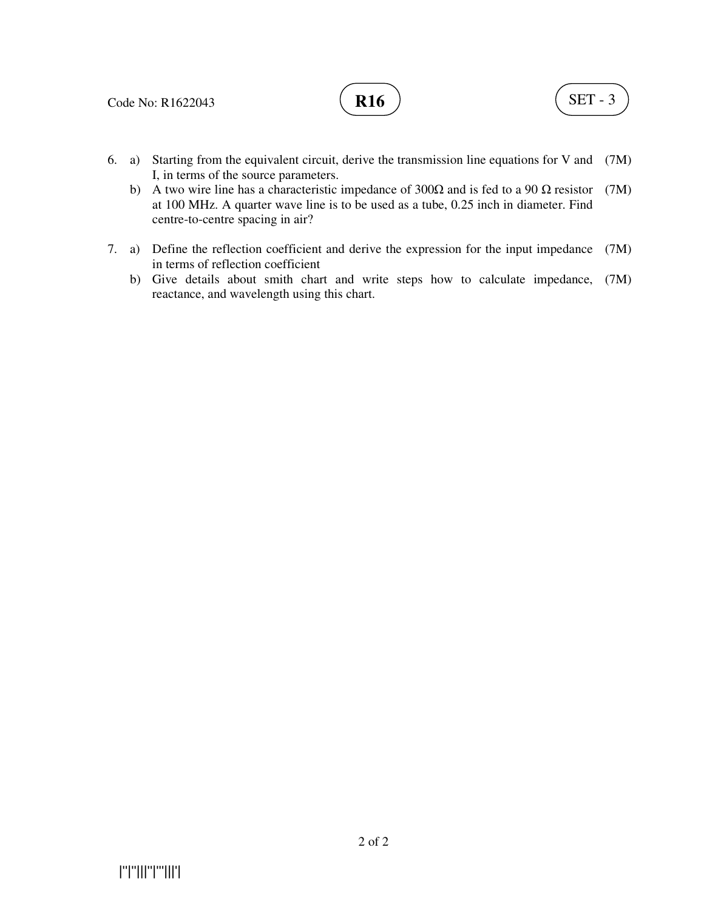

- 6. a) Starting from the equivalent circuit, derive the transmission line equations for V and (7M) I, in terms of the source parameters.
	- b) A two wire line has a characteristic impedance of  $300\Omega$  and is fed to a 90  $\Omega$  resistor (7M) at 100 MHz. A quarter wave line is to be used as a tube, 0.25 inch in diameter. Find centre-to-centre spacing in air?
- 7. a) Define the reflection coefficient and derive the expression for the input impedance (7M) in terms of reflection coefficient
- b) Give details about smith chart and write steps how to calculate impedance, (7M) reactance, and wavelength using this chart.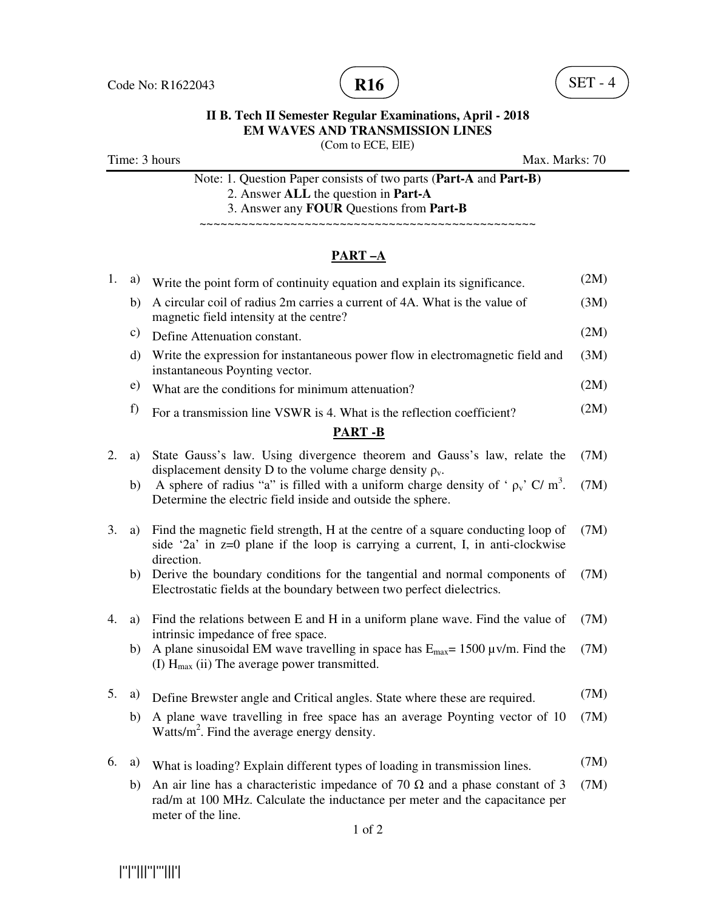



(Com to ECE, EIE)

Time: 3 hours Max. Marks: 70

|  |  |                                                  |  | Note: 1. Question Paper consists of two parts (Part-A and Part-B) |
|--|--|--------------------------------------------------|--|-------------------------------------------------------------------|
|  |  | $\Omega$ , Andready ATT also accepted in Death A |  |                                                                   |

2. Answer **ALL** the question in **Part-A**

3. Answer any **FOUR** Questions from **Part-B**

~~~~~~~~~~~~~~~~~~~~~~~~~~~~~~~~~~~~~~~~~~~~~~~~

# **PART –A**

| 1.            | a)           | Write the point form of continuity equation and explain its significance.                                                                                                                 | (2M) |  |  |  |  |  |  |
|---------------|--------------|-------------------------------------------------------------------------------------------------------------------------------------------------------------------------------------------|------|--|--|--|--|--|--|
|               | b)           | A circular coil of radius 2m carries a current of 4A. What is the value of<br>magnetic field intensity at the centre?                                                                     | (3M) |  |  |  |  |  |  |
|               | c)           | Define Attenuation constant.                                                                                                                                                              |      |  |  |  |  |  |  |
|               | $\mathbf{d}$ | Write the expression for instantaneous power flow in electromagnetic field and<br>instantaneous Poynting vector.                                                                          | (3M) |  |  |  |  |  |  |
|               | e)           | What are the conditions for minimum attenuation?                                                                                                                                          | (2M) |  |  |  |  |  |  |
|               | f)           | For a transmission line VSWR is 4. What is the reflection coefficient?                                                                                                                    | (2M) |  |  |  |  |  |  |
| <b>PART-B</b> |              |                                                                                                                                                                                           |      |  |  |  |  |  |  |
| 2.            | a)           | State Gauss's law. Using divergence theorem and Gauss's law, relate the<br>displacement density D to the volume charge density $\rho_{v}$ .                                               |      |  |  |  |  |  |  |
|               | b)           | A sphere of radius "a" is filled with a uniform charge density of ' $\rho_v$ , C/m <sup>3</sup> .<br>Determine the electric field inside and outside the sphere.                          | (7M) |  |  |  |  |  |  |
| 3.            | a)           | Find the magnetic field strength, H at the centre of a square conducting loop of<br>side '2a' in $z=0$ plane if the loop is carrying a current, I, in anti-clockwise<br>direction.        | (7M) |  |  |  |  |  |  |
|               | b)           | Derive the boundary conditions for the tangential and normal components of<br>Electrostatic fields at the boundary between two perfect dielectrics.                                       | (7M) |  |  |  |  |  |  |
| 4.            | a)           | Find the relations between E and H in a uniform plane wave. Find the value of<br>intrinsic impedance of free space.                                                                       | (7M) |  |  |  |  |  |  |
|               | b)           | A plane sinusoidal EM wave travelling in space has $E_{\text{max}} = 1500 \,\text{\mu}$ v/m. Find the<br>(I) $H_{\text{max}}$ (ii) The average power transmitted.                         | (7M) |  |  |  |  |  |  |
| 5.            | a)           | Define Brewster angle and Critical angles. State where these are required.                                                                                                                |      |  |  |  |  |  |  |
|               | b)           | A plane wave travelling in free space has an average Poynting vector of 10<br>Watts/ $m^2$ . Find the average energy density.                                                             | (7M) |  |  |  |  |  |  |
| 6.            | a)           | What is loading? Explain different types of loading in transmission lines.                                                                                                                | (7M) |  |  |  |  |  |  |
|               | b)           | An air line has a characteristic impedance of 70 $\Omega$ and a phase constant of 3<br>rad/m at 100 MHz. Calculate the inductance per meter and the capacitance per<br>meter of the line. | (7M) |  |  |  |  |  |  |

|''|''|||''|'''|||'|